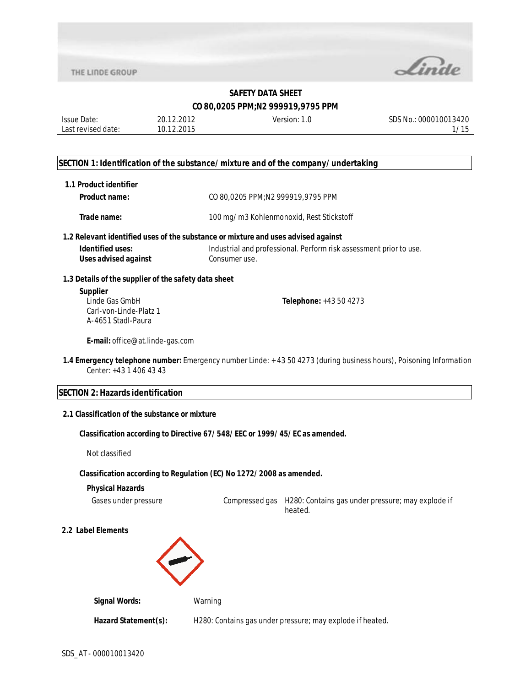

| Issue Date:        | 20.12.2012 | Version: 1.0 | SDS No.: 000010013420 |
|--------------------|------------|--------------|-----------------------|
| Last revised date: | 10.12.2015 |              |                       |
|                    |            |              |                       |

#### **SECTION 1: Identification of the substance/mixture and of the company/undertaking**

| 1.1 Product identifier                                                            |                                          |                                                                                                                    |  |  |  |
|-----------------------------------------------------------------------------------|------------------------------------------|--------------------------------------------------------------------------------------------------------------------|--|--|--|
| <b>Product name:</b>                                                              | CO 80,0205 PPM;N2 999919,9795 PPM        |                                                                                                                    |  |  |  |
| Trade name:                                                                       | 100 mg/m3 Kohlenmonoxid, Rest Stickstoff |                                                                                                                    |  |  |  |
| 1.2 Relevant identified uses of the substance or mixture and uses advised against |                                          |                                                                                                                    |  |  |  |
| Identified uses:<br><b>Uses advised against</b>                                   | Consumer use.                            | Industrial and professional. Perform risk assessment prior to use.                                                 |  |  |  |
| 1.3 Details of the supplier of the safety data sheet                              |                                          |                                                                                                                    |  |  |  |
| <b>Supplier</b><br>Linde Gas GmbH<br>Carl-von-Linde-Platz 1<br>A-4651 Stadl-Paura |                                          | Telephone: +43 50 4273                                                                                             |  |  |  |
| E-mail: office@at.linde-gas.com                                                   |                                          |                                                                                                                    |  |  |  |
| Center: +43 1 406 43 43                                                           |                                          | 1.4 Emergency telephone number: Emergency number Linde: +43 50 4273 (during business hours), Poisoning Information |  |  |  |
| <b>SECTION 2: Hazards identification</b>                                          |                                          |                                                                                                                    |  |  |  |
| 2.1 Classification of the substance or mixture                                    |                                          |                                                                                                                    |  |  |  |
| Classification according to Directive 67/548/EEC or 1999/45/EC as amended.        |                                          |                                                                                                                    |  |  |  |
| Not classified                                                                    |                                          |                                                                                                                    |  |  |  |
| Classification according to Regulation (EC) No 1272/2008 as amended.              |                                          |                                                                                                                    |  |  |  |
| <b>Physical Hazards</b>                                                           |                                          |                                                                                                                    |  |  |  |
| Gases under pressure                                                              | Compressed gas                           | H280: Contains gas under pressure; may explode if<br>heated.                                                       |  |  |  |
| 2.2 Label Elements                                                                |                                          |                                                                                                                    |  |  |  |
|                                                                                   |                                          |                                                                                                                    |  |  |  |

**Signal Words:** Warning Hazard Statement(s): H280: Contains gas under pressure; may explode if heated.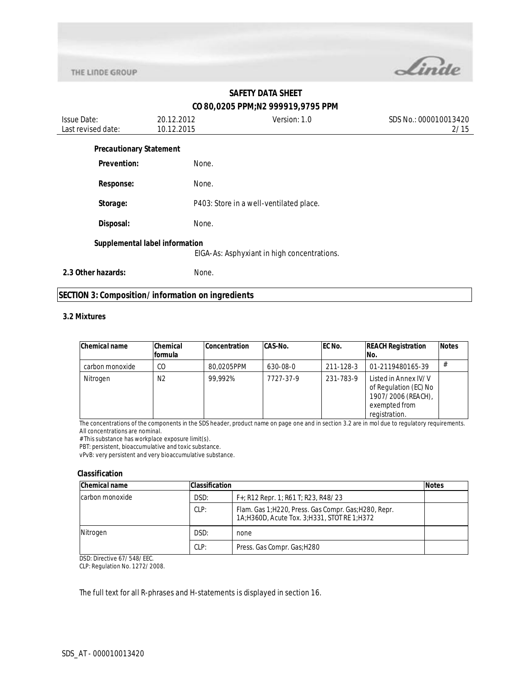

| <b>Issue Date:</b><br>Last revised date: | 20.12.2012<br>10.12.2015 | Version: 1.0                                | SDS No.: 000010013420<br>2/15 |
|------------------------------------------|--------------------------|---------------------------------------------|-------------------------------|
| <b>Precautionary Statement</b>           |                          |                                             |                               |
| <b>Prevention:</b>                       | None.                    |                                             |                               |
| <b>Response:</b>                         | None.                    |                                             |                               |
| Storage:                                 |                          | P403: Store in a well-ventilated place.     |                               |
| Disposal:                                | None.                    |                                             |                               |
| Supplemental label information           |                          |                                             |                               |
|                                          |                          | EIGA-As: Asphyxiant in high concentrations. |                               |
| 2.3 Other hazards:                       | None.                    |                                             |                               |

## **SECTION 3: Composition/information on ingredients**

#### **3.2 Mixtures**

| <b>Chemical name</b> | Chemical<br><b>formula</b> | <b>Concentration</b> | <b>CAS-No.</b> | EC No.    | <b>REACH Registration</b><br>No.                                                                      | <b>Notes</b> |
|----------------------|----------------------------|----------------------|----------------|-----------|-------------------------------------------------------------------------------------------------------|--------------|
| carbon monoxide      | CO                         | 80.0205PPM           | 630-08-0       | 211-128-3 | 01-2119480165-39                                                                                      | #            |
| Nitrogen             | N2                         | 99.992%              | 7727-37-9      | 231-783-9 | Listed in Annex IV/V<br>of Regulation (EC) No<br>1907/2006 (REACH),<br>exempted from<br>registration. |              |

The concentrations of the components in the SDS header, product name on page one and in section 3.2 are in mol due to regulatory requirements. All concentrations are nominal.

# This substance has workplace exposure limit(s).

PBT: persistent, bioaccumulative and toxic substance.

vPvB: very persistent and very bioaccumulative substance.

#### **Classification**

| <b>Chemical name</b> | <b>Classification</b> |                                                                                                      | <b>Notes</b> |
|----------------------|-----------------------|------------------------------------------------------------------------------------------------------|--------------|
| Icarbon monoxide     | DSD:                  | $F+$ ; R12 Repr. 1; R61 T; R23, R48/23                                                               |              |
|                      | CLP:                  | Flam. Gas 1; H220, Press. Gas Compr. Gas; H280, Repr.<br>1A;H360D, Acute Tox. 3;H331, STOT RE 1;H372 |              |
| Nitrogen             | DSD:                  | none                                                                                                 |              |
|                      | CLP:                  | Press. Gas Compr. Gas; H280                                                                          |              |

DSD: Directive 67/548/EEC.

CLP: Regulation No. 1272/2008.

The full text for all R-phrases and H-statements is displayed in section 16.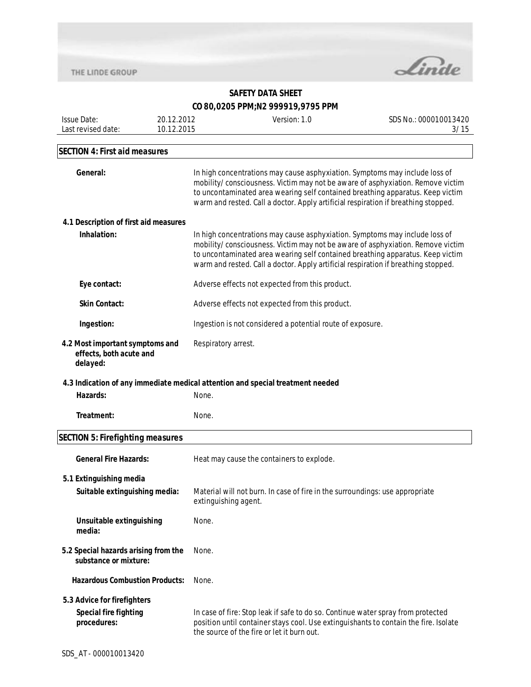

| <b>Issue Date:</b>                                                         | 20.12.2012 | Version: 1.0                                                                                                                                                                                                                                                                                                                          | SDS No.: 000010013420 |  |  |
|----------------------------------------------------------------------------|------------|---------------------------------------------------------------------------------------------------------------------------------------------------------------------------------------------------------------------------------------------------------------------------------------------------------------------------------------|-----------------------|--|--|
| Last revised date:                                                         | 10.12.2015 |                                                                                                                                                                                                                                                                                                                                       | 3/15                  |  |  |
|                                                                            |            |                                                                                                                                                                                                                                                                                                                                       |                       |  |  |
| <b>SECTION 4: First aid measures</b>                                       |            |                                                                                                                                                                                                                                                                                                                                       |                       |  |  |
| General:                                                                   |            | In high concentrations may cause asphyxiation. Symptoms may include loss of<br>mobility/consciousness. Victim may not be aware of asphyxiation. Remove victim<br>to uncontaminated area wearing self contained breathing apparatus. Keep victim<br>warm and rested. Call a doctor. Apply artificial respiration if breathing stopped. |                       |  |  |
| 4.1 Description of first aid measures                                      |            |                                                                                                                                                                                                                                                                                                                                       |                       |  |  |
| Inhalation:                                                                |            | In high concentrations may cause asphyxiation. Symptoms may include loss of<br>mobility/consciousness. Victim may not be aware of asphyxiation. Remove victim<br>to uncontaminated area wearing self contained breathing apparatus. Keep victim<br>warm and rested. Call a doctor. Apply artificial respiration if breathing stopped. |                       |  |  |
| Eye contact:                                                               |            | Adverse effects not expected from this product.                                                                                                                                                                                                                                                                                       |                       |  |  |
| <b>Skin Contact:</b>                                                       |            | Adverse effects not expected from this product.                                                                                                                                                                                                                                                                                       |                       |  |  |
| Ingestion:                                                                 |            | Ingestion is not considered a potential route of exposure.                                                                                                                                                                                                                                                                            |                       |  |  |
| 4.2 Most important symptoms and<br>effects, both acute and<br>delayed:     |            | Respiratory arrest.                                                                                                                                                                                                                                                                                                                   |                       |  |  |
|                                                                            |            | 4.3 Indication of any immediate medical attention and special treatment needed                                                                                                                                                                                                                                                        |                       |  |  |
| Hazards:                                                                   | None.      |                                                                                                                                                                                                                                                                                                                                       |                       |  |  |
| Treatment:                                                                 | None.      |                                                                                                                                                                                                                                                                                                                                       |                       |  |  |
| <b>SECTION 5: Firefighting measures</b>                                    |            |                                                                                                                                                                                                                                                                                                                                       |                       |  |  |
| <b>General Fire Hazards:</b>                                               |            | Heat may cause the containers to explode.                                                                                                                                                                                                                                                                                             |                       |  |  |
| 5.1 Extinguishing media<br>Suitable extinguishing media:                   |            | Material will not burn. In case of fire in the surroundings: use appropriate<br>extinguishing agent.                                                                                                                                                                                                                                  |                       |  |  |
| Unsuitable extinguishing<br>media:                                         | None.      |                                                                                                                                                                                                                                                                                                                                       |                       |  |  |
| 5.2 Special hazards arising from the<br>substance or mixture:              | None.      |                                                                                                                                                                                                                                                                                                                                       |                       |  |  |
| <b>Hazardous Combustion Products:</b>                                      | None.      |                                                                                                                                                                                                                                                                                                                                       |                       |  |  |
| 5.3 Advice for firefighters<br><b>Special fire fighting</b><br>procedures: |            | In case of fire: Stop leak if safe to do so. Continue water spray from protected<br>position until container stays cool. Use extinguishants to contain the fire. Isolate<br>the source of the fire or let it burn out.                                                                                                                |                       |  |  |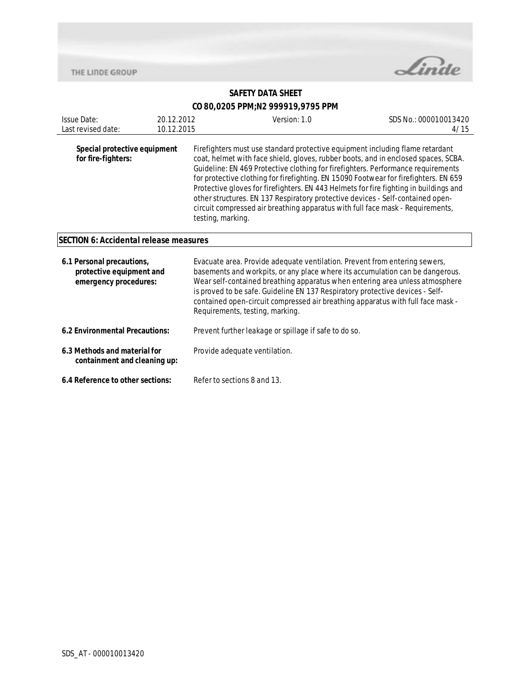

| <b>Issue Date:</b><br>Last revised date:                                       | 20.12.2012<br>10.12.2015 | Version: 1.0                                                                                                                                                                                                                                                                                                                                                                                                                                                                                                                                                                                                                      | SDS No.: 000010013420<br>4/15 |  |
|--------------------------------------------------------------------------------|--------------------------|-----------------------------------------------------------------------------------------------------------------------------------------------------------------------------------------------------------------------------------------------------------------------------------------------------------------------------------------------------------------------------------------------------------------------------------------------------------------------------------------------------------------------------------------------------------------------------------------------------------------------------------|-------------------------------|--|
| Special protective equipment<br>for fire-fighters:                             |                          | Firefighters must use standard protective equipment including flame retardant<br>coat, helmet with face shield, gloves, rubber boots, and in enclosed spaces, SCBA.<br>Guideline: EN 469 Protective clothing for firefighters. Performance requirements<br>for protective clothing for firefighting. EN 15090 Footwear for firefighters. EN 659<br>Protective gloves for firefighters. EN 443 Helmets for fire fighting in buildings and<br>other structures. EN 137 Respiratory protective devices - Self-contained open-<br>circuit compressed air breathing apparatus with full face mask - Requirements,<br>testing, marking. |                               |  |
| <b>SECTION 6: Accidental release measures</b>                                  |                          |                                                                                                                                                                                                                                                                                                                                                                                                                                                                                                                                                                                                                                   |                               |  |
| 6.1 Personal precautions,<br>protective equipment and<br>emergency procedures: |                          | Evacuate area. Provide adequate ventilation. Prevent from entering sewers,<br>basements and workpits, or any place where its accumulation can be dangerous.<br>Wear self-contained breathing apparatus when entering area unless atmosphere<br>is proved to be safe. Guideline EN 137 Respiratory protective devices - Self-<br>contained open-circuit compressed air breathing apparatus with full face mask -<br>Requirements, testing, marking.                                                                                                                                                                                |                               |  |
| 6.2 Environmental Precautions:                                                 |                          | Prevent further leakage or spillage if safe to do so.                                                                                                                                                                                                                                                                                                                                                                                                                                                                                                                                                                             |                               |  |
| 6.3 Methods and material for<br>containment and cleaning up:                   |                          | Provide adequate ventilation.                                                                                                                                                                                                                                                                                                                                                                                                                                                                                                                                                                                                     |                               |  |
| 6.4 Reference to other sections:                                               |                          | Refer to sections 8 and 13.                                                                                                                                                                                                                                                                                                                                                                                                                                                                                                                                                                                                       |                               |  |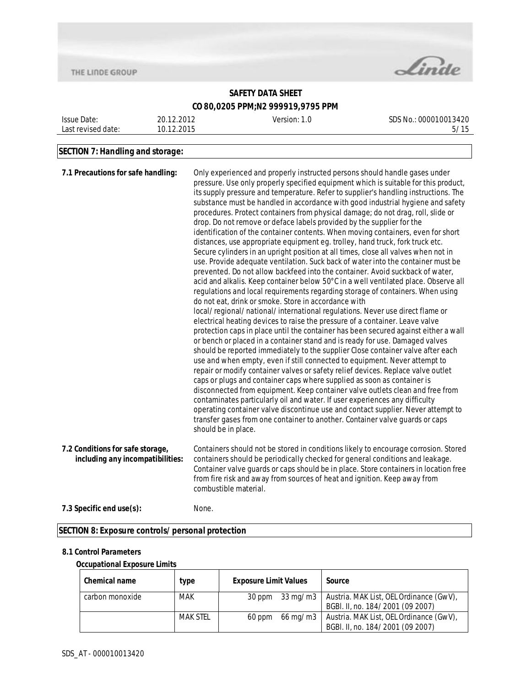

### **SAFETY DATA SHEET CO 80,0205 PPM;N2 999919,9795 PPM**

| Issue Date:        | 20.12.2012 | Version: 1.0 | SDS No.: 000010013420 |
|--------------------|------------|--------------|-----------------------|
| Last revised date: | 10.12.2015 |              | 5/15                  |
|                    |            |              |                       |

## **SECTION 7: Handling and storage:**

| 7.1 Precautions for safe handling:                                   | Only experienced and properly instructed persons should handle gases under<br>pressure. Use only properly specified equipment which is suitable for this product,<br>its supply pressure and temperature. Refer to supplier's handling instructions. The<br>substance must be handled in accordance with good industrial hygiene and safety<br>procedures. Protect containers from physical damage; do not drag, roll, slide or<br>drop. Do not remove or deface labels provided by the supplier for the<br>identification of the container contents. When moving containers, even for short<br>distances, use appropriate equipment eg. trolley, hand truck, fork truck etc.<br>Secure cylinders in an upright position at all times, close all valves when not in<br>use. Provide adequate ventilation. Suck back of water into the container must be<br>prevented. Do not allow backfeed into the container. Avoid suckback of water,<br>acid and alkalis. Keep container below 50°C in a well ventilated place. Observe all<br>regulations and local requirements regarding storage of containers. When using<br>do not eat, drink or smoke. Store in accordance with<br>local/regional/national/international regulations. Never use direct flame or<br>electrical heating devices to raise the pressure of a container. Leave valve<br>protection caps in place until the container has been secured against either a wall<br>or bench or placed in a container stand and is ready for use. Damaged valves<br>should be reported immediately to the supplier Close container valve after each<br>use and when empty, even if still connected to equipment. Never attempt to<br>repair or modify container valves or safety relief devices. Replace valve outlet<br>caps or plugs and container caps where supplied as soon as container is<br>disconnected from equipment. Keep container valve outlets clean and free from<br>contaminates particularly oil and water. If user experiences any difficulty<br>operating container valve discontinue use and contact supplier. Never attempt to<br>transfer gases from one container to another. Container valve guards or caps<br>should be in place. |
|----------------------------------------------------------------------|-------------------------------------------------------------------------------------------------------------------------------------------------------------------------------------------------------------------------------------------------------------------------------------------------------------------------------------------------------------------------------------------------------------------------------------------------------------------------------------------------------------------------------------------------------------------------------------------------------------------------------------------------------------------------------------------------------------------------------------------------------------------------------------------------------------------------------------------------------------------------------------------------------------------------------------------------------------------------------------------------------------------------------------------------------------------------------------------------------------------------------------------------------------------------------------------------------------------------------------------------------------------------------------------------------------------------------------------------------------------------------------------------------------------------------------------------------------------------------------------------------------------------------------------------------------------------------------------------------------------------------------------------------------------------------------------------------------------------------------------------------------------------------------------------------------------------------------------------------------------------------------------------------------------------------------------------------------------------------------------------------------------------------------------------------------------------------------------------------------------------------------------------------------------------------------------------------------|
| 7.2 Conditions for safe storage,<br>including any incompatibilities: | Containers should not be stored in conditions likely to encourage corrosion. Stored<br>containers should be periodically checked for general conditions and leakage.<br>Container valve guards or caps should be in place. Store containers in location free<br>from fire risk and away from sources of heat and ignition. Keep away from<br>combustible material.                                                                                                                                                                                                                                                                                                                                                                                                                                                                                                                                                                                                                                                                                                                                                                                                                                                                                                                                                                                                                                                                                                                                                                                                                                                                                                                                                                                                                                                                                                                                                                                                                                                                                                                                                                                                                                          |
| 7.3 Specific end use(s):                                             | None.                                                                                                                                                                                                                                                                                                                                                                                                                                                                                                                                                                                                                                                                                                                                                                                                                                                                                                                                                                                                                                                                                                                                                                                                                                                                                                                                                                                                                                                                                                                                                                                                                                                                                                                                                                                                                                                                                                                                                                                                                                                                                                                                                                                                       |

#### **SECTION 8: Exposure controls/personal protection**

#### **8.1 Control Parameters**

#### **Occupational Exposure Limits**

| <b>Chemical name</b> | type            | <b>Exposure Limit Values</b> | Source                                                                                 |
|----------------------|-----------------|------------------------------|----------------------------------------------------------------------------------------|
| carbon monoxide      | <b>MAK</b>      | 30 ppm                       | 33 mg/m3   Austria. MAK List, OEL Ordinance (GwV),<br>BGBI. II, no. 184/2001 (09 2007) |
|                      | <b>MAK STEL</b> | 60 ppm                       | 66 mg/m3   Austria. MAK List, OEL Ordinance (GwV),<br>BGBI. II, no. 184/2001 (09 2007) |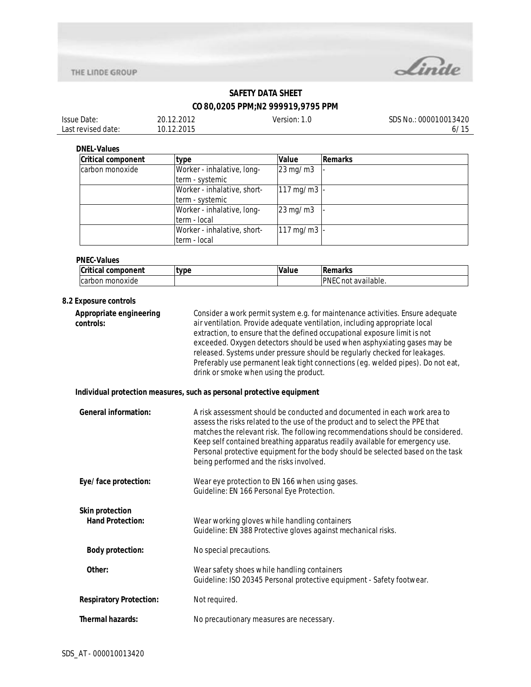



## **SAFETY DATA SHEET**

## **CO 80,0205 PPM;N2 999919,9795 PPM**

| Issue Date:        | 20.12.2012 | Version: | SDS No.: 000010013420 |
|--------------------|------------|----------|-----------------------|
| Last revised date: | 10.12.2015 |          | 6/17                  |

**DNEL-Values**

| <b>Critical component</b> | type                        | Value                    | Remarks |
|---------------------------|-----------------------------|--------------------------|---------|
| carbon monoxide           | Worker - inhalative, long-  | $23 \,\mathrm{mg/m3}$    |         |
|                           | term - systemic             |                          |         |
|                           | Worker - inhalative, short- | $117 \,\mathrm{mg/m3}$ - |         |
|                           | term - systemic             |                          |         |
|                           | Worker - inhalative, long-  | $23 \,\mathrm{mg/m3}$    |         |
|                           | lterm - local               |                          |         |
|                           | Worker - inhalative, short- | $117 \,\mathrm{mg/m3}$ - |         |
|                           | term - local                |                          |         |

#### **PNEC-Values**

| <b>Critical</b><br>component | type | <b>Value</b> | 'emarks                            |
|------------------------------|------|--------------|------------------------------------|
| ı monoxide<br>carbon         |      |              | <b>PNEC</b><br>t available.<br>not |

#### **8.2 Exposure controls**

| Appropriate engineering<br>controls: | Consider a work permit system e.g. for maintenance activities. Ensure adequate<br>air ventilation. Provide adequate ventilation, including appropriate local<br>extraction, to ensure that the defined occupational exposure limit is not<br>exceeded. Oxygen detectors should be used when asphyxiating gases may be<br>released. Systems under pressure should be regularly checked for leakages.<br>Preferably use permanent leak tight connections (eg. welded pipes). Do not eat,<br>drink or smoke when using the product. |
|--------------------------------------|----------------------------------------------------------------------------------------------------------------------------------------------------------------------------------------------------------------------------------------------------------------------------------------------------------------------------------------------------------------------------------------------------------------------------------------------------------------------------------------------------------------------------------|
|                                      |                                                                                                                                                                                                                                                                                                                                                                                                                                                                                                                                  |

#### **Individual protection measures, such as personal protective equipment**

| <b>General information:</b>                       | A risk assessment should be conducted and documented in each work area to<br>assess the risks related to the use of the product and to select the PPE that<br>matches the relevant risk. The following recommendations should be considered.<br>Keep self contained breathing apparatus readily available for emergency use.<br>Personal protective equipment for the body should be selected based on the task<br>being performed and the risks involved. |
|---------------------------------------------------|------------------------------------------------------------------------------------------------------------------------------------------------------------------------------------------------------------------------------------------------------------------------------------------------------------------------------------------------------------------------------------------------------------------------------------------------------------|
| Eye/face protection:                              | Wear eye protection to EN 166 when using gases.<br>Guideline: EN 166 Personal Eye Protection.                                                                                                                                                                                                                                                                                                                                                              |
| <b>Skin protection</b><br><b>Hand Protection:</b> | Wear working gloves while handling containers<br>Guideline: EN 388 Protective gloves against mechanical risks.                                                                                                                                                                                                                                                                                                                                             |
| <b>Body protection:</b>                           | No special precautions.                                                                                                                                                                                                                                                                                                                                                                                                                                    |
| Other:                                            | Wear safety shoes while handling containers<br>Guideline: ISO 20345 Personal protective equipment - Safety footwear.                                                                                                                                                                                                                                                                                                                                       |
| <b>Respiratory Protection:</b>                    | Not required.                                                                                                                                                                                                                                                                                                                                                                                                                                              |
| <b>Thermal hazards:</b>                           | No precautionary measures are necessary.                                                                                                                                                                                                                                                                                                                                                                                                                   |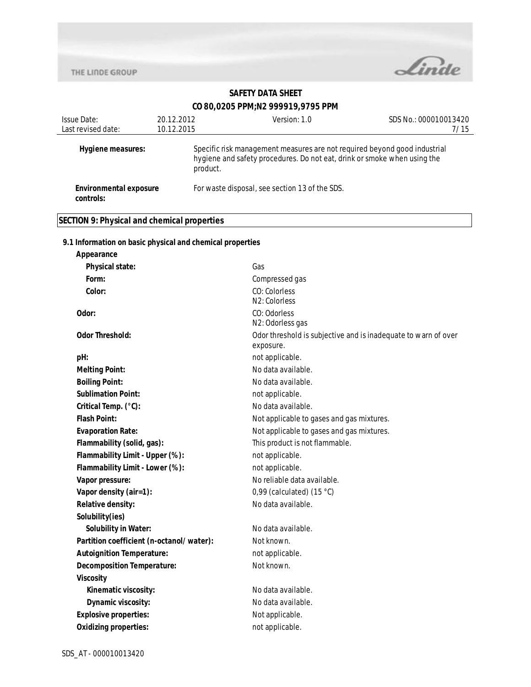**Appearance**



# **SAFETY DATA SHEET**

## **CO 80,0205 PPM;N2 999919,9795 PPM**

| Issue Date:                         | 20.12.2012 | Version: 1.0                                                                                                                                                      | SDS No.: 000010013420 |
|-------------------------------------|------------|-------------------------------------------------------------------------------------------------------------------------------------------------------------------|-----------------------|
| Last revised date:                  | 10.12.2015 |                                                                                                                                                                   | 7/15                  |
| Hygiene measures:                   |            | Specific risk management measures are not required beyond good industrial<br>hygiene and safety procedures. Do not eat, drink or smoke when using the<br>product. |                       |
| Environmental exposure<br>controls: |            | For waste disposal, see section 13 of the SDS.                                                                                                                    |                       |

## **SECTION 9: Physical and chemical properties**

#### **9.1 Information on basic physical and chemical properties**

| <b>Physical state:</b>                   | Gas                                                            |
|------------------------------------------|----------------------------------------------------------------|
| Form:                                    | Compressed gas                                                 |
| Color:                                   | CO: Colorless                                                  |
|                                          | N <sub>2</sub> : Colorless                                     |
| Odor:                                    | CO: Odorless                                                   |
|                                          | N2: Odorless gas                                               |
| <b>Odor Threshold:</b>                   | Odor threshold is subjective and is inadequate to warn of over |
| pH:                                      | exposure.<br>not applicable.                                   |
| <b>Melting Point:</b>                    | No data available.                                             |
| <b>Boiling Point:</b>                    | No data available.                                             |
| <b>Sublimation Point:</b>                | not applicable.                                                |
| Critical Temp. (°C):                     | No data available.                                             |
| <b>Flash Point:</b>                      |                                                                |
|                                          | Not applicable to gases and gas mixtures.                      |
| <b>Evaporation Rate:</b>                 | Not applicable to gases and gas mixtures.                      |
| Flammability (solid, gas):               | This product is not flammable.                                 |
| Flammability Limit - Upper (%):          | not applicable.                                                |
| Flammability Limit - Lower (%):          | not applicable.                                                |
| Vapor pressure:                          | No reliable data available.                                    |
| Vapor density (air=1):                   | 0,99 (calculated) $(15 °C)$                                    |
| Relative density:                        | No data available.                                             |
| Solubility(ies)                          |                                                                |
| <b>Solubility in Water:</b>              | No data available.                                             |
| Partition coefficient (n-octanol/water): | Not known.                                                     |
| <b>Autoignition Temperature:</b>         | not applicable.                                                |
| <b>Decomposition Temperature:</b>        | Not known.                                                     |
| <b>Viscosity</b>                         |                                                                |
| Kinematic viscosity:                     | No data available.                                             |
| Dynamic viscosity:                       | No data available.                                             |
| <b>Explosive properties:</b>             | Not applicable.                                                |
| <b>Oxidizing properties:</b>             | not applicable.                                                |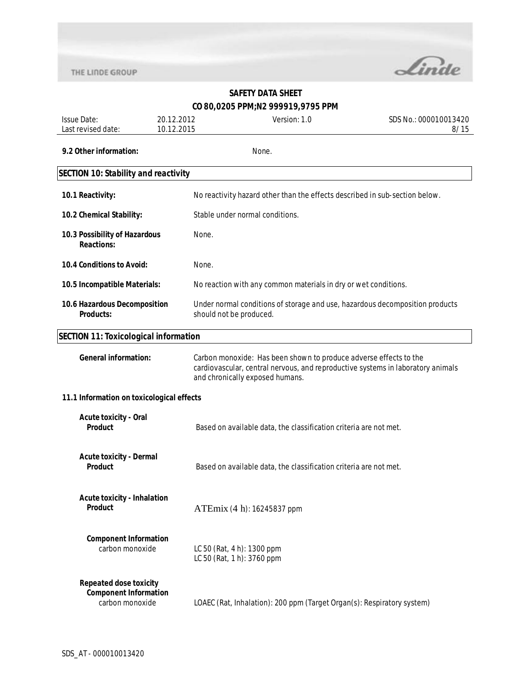

| <b>Issue Date:</b><br>Last revised date:                                         | 20.12.2012<br>10.12.2015 | Version: 1.0                                                                                                                                                                            | SDS No.: 000010013420<br>8/15 |
|----------------------------------------------------------------------------------|--------------------------|-----------------------------------------------------------------------------------------------------------------------------------------------------------------------------------------|-------------------------------|
| 9.2 Other information:                                                           |                          | None.                                                                                                                                                                                   |                               |
|                                                                                  |                          |                                                                                                                                                                                         |                               |
| <b>SECTION 10: Stability and reactivity</b>                                      |                          |                                                                                                                                                                                         |                               |
| 10.1 Reactivity:                                                                 |                          | No reactivity hazard other than the effects described in sub-section below.                                                                                                             |                               |
| 10.2 Chemical Stability:                                                         |                          | Stable under normal conditions.                                                                                                                                                         |                               |
| 10.3 Possibility of Hazardous<br><b>Reactions:</b>                               | None.                    |                                                                                                                                                                                         |                               |
| 10.4 Conditions to Avoid:                                                        | None.                    |                                                                                                                                                                                         |                               |
| 10.5 Incompatible Materials:                                                     |                          | No reaction with any common materials in dry or wet conditions.                                                                                                                         |                               |
| 10.6 Hazardous Decomposition<br><b>Products:</b>                                 |                          | Under normal conditions of storage and use, hazardous decomposition products<br>should not be produced.                                                                                 |                               |
| <b>SECTION 11: Toxicological information</b>                                     |                          |                                                                                                                                                                                         |                               |
| <b>General information:</b>                                                      |                          | Carbon monoxide: Has been shown to produce adverse effects to the<br>cardiovascular, central nervous, and reproductive systems in laboratory animals<br>and chronically exposed humans. |                               |
| 11.1 Information on toxicological effects                                        |                          |                                                                                                                                                                                         |                               |
| <b>Acute toxicity - Oral</b><br>Product                                          |                          | Based on available data, the classification criteria are not met.                                                                                                                       |                               |
| <b>Acute toxicity - Dermal</b><br><b>Product</b>                                 |                          | Based on available data, the classification criteria are not met.                                                                                                                       |                               |
| <b>Acute toxicity - Inhalation</b><br>Product                                    |                          | ATEmix (4 h): 16245837 ppm                                                                                                                                                              |                               |
| <b>Component Information</b><br>carbon monoxide                                  |                          | LC 50 (Rat, 4 h): 1300 ppm<br>LC 50 (Rat, 1 h): 3760 ppm                                                                                                                                |                               |
| <b>Repeated dose toxicity</b><br><b>Component Information</b><br>carbon monoxide |                          | LOAEC (Rat, Inhalation): 200 ppm (Target Organ(s): Respiratory system)                                                                                                                  |                               |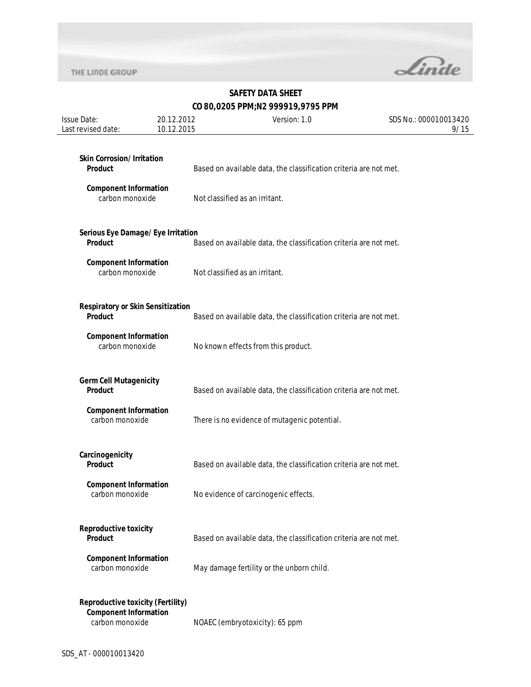

| <b>Issue Date:</b><br>Last revised date:                                                    | 20.12.2012<br>10.12.2015 | Version: 1.0                                                      | SDS No.: 000010013420<br>9/15 |
|---------------------------------------------------------------------------------------------|--------------------------|-------------------------------------------------------------------|-------------------------------|
| <b>Skin Corrosion/Irritation</b><br><b>Product</b>                                          |                          | Based on available data, the classification criteria are not met. |                               |
| <b>Component Information</b><br>carbon monoxide                                             |                          | Not classified as an irritant.                                    |                               |
| Serious Eye Damage/Eye Irritation<br><b>Product</b>                                         |                          | Based on available data, the classification criteria are not met. |                               |
| <b>Component Information</b><br>carbon monoxide                                             |                          | Not classified as an irritant.                                    |                               |
| <b>Respiratory or Skin Sensitization</b><br><b>Product</b>                                  |                          | Based on available data, the classification criteria are not met. |                               |
| <b>Component Information</b><br>carbon monoxide                                             |                          | No known effects from this product.                               |                               |
| <b>Germ Cell Mutagenicity</b><br><b>Product</b>                                             |                          | Based on available data, the classification criteria are not met. |                               |
| <b>Component Information</b><br>carbon monoxide                                             |                          | There is no evidence of mutagenic potential.                      |                               |
| Carcinogenicity<br><b>Product</b>                                                           |                          | Based on available data, the classification criteria are not met. |                               |
| <b>Component Information</b><br>carbon monoxide                                             |                          | No evidence of carcinogenic effects.                              |                               |
| <b>Reproductive toxicity</b><br><b>Product</b>                                              |                          | Based on available data, the classification criteria are not met. |                               |
| <b>Component Information</b><br>carbon monoxide                                             |                          | May damage fertility or the unborn child.                         |                               |
| <b>Reproductive toxicity (Fertility)</b><br><b>Component Information</b><br>carbon monoxide |                          | NOAEC (embryotoxicity): 65 ppm                                    |                               |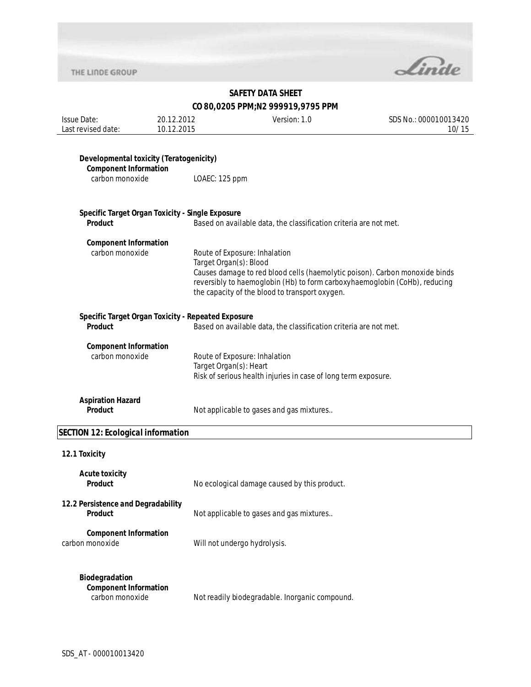

# **SAFETY DATA SHEET**

## **CO 80,0205 PPM;N2 999919,9795 PPM**

| <b>Issue Date:</b><br>Last revised date:                                                   | 20.12.2012<br>10.12.2015                           | Version: 1.0                                                                                                                                                                                                                                                           | SDS No.: 000010013420<br>10/15 |  |
|--------------------------------------------------------------------------------------------|----------------------------------------------------|------------------------------------------------------------------------------------------------------------------------------------------------------------------------------------------------------------------------------------------------------------------------|--------------------------------|--|
| Developmental toxicity (Teratogenicity)<br><b>Component Information</b><br>carbon monoxide | LOAEC: 125 ppm                                     |                                                                                                                                                                                                                                                                        |                                |  |
| <b>Product</b>                                                                             | Specific Target Organ Toxicity - Single Exposure   | Based on available data, the classification criteria are not met.                                                                                                                                                                                                      |                                |  |
| <b>Component Information</b><br>carbon monoxide                                            |                                                    | Route of Exposure: Inhalation<br>Target Organ(s): Blood<br>Causes damage to red blood cells (haemolytic poison). Carbon monoxide binds<br>reversibly to haemoglobin (Hb) to form carboxyhaemoglobin (CoHb), reducing<br>the capacity of the blood to transport oxygen. |                                |  |
| Product                                                                                    | Specific Target Organ Toxicity - Repeated Exposure | Based on available data, the classification criteria are not met.                                                                                                                                                                                                      |                                |  |
| <b>Component Information</b><br>carbon monoxide                                            |                                                    | Route of Exposure: Inhalation<br>Target Organ(s): Heart<br>Risk of serious health injuries in case of long term exposure.                                                                                                                                              |                                |  |
| <b>Aspiration Hazard</b><br>Product                                                        |                                                    | Not applicable to gases and gas mixtures                                                                                                                                                                                                                               |                                |  |
| <b>SECTION 12: Ecological information</b>                                                  |                                                    |                                                                                                                                                                                                                                                                        |                                |  |
| 12.1 Toxicity                                                                              |                                                    |                                                                                                                                                                                                                                                                        |                                |  |
| <b>Acute toxicity</b><br><b>Product</b>                                                    |                                                    | No ecological damage caused by this product.                                                                                                                                                                                                                           |                                |  |
| 12.2 Persistence and Degradability<br><b>Product</b>                                       |                                                    | Not applicable to gases and gas mixtures                                                                                                                                                                                                                               |                                |  |
| <b>Component Information</b><br>carbon monoxide                                            |                                                    | Will not undergo hydrolysis.                                                                                                                                                                                                                                           |                                |  |
| Biodegradation<br><b>Component Information</b><br>carbon monoxide                          |                                                    | Not readily biodegradable. Inorganic compound.                                                                                                                                                                                                                         |                                |  |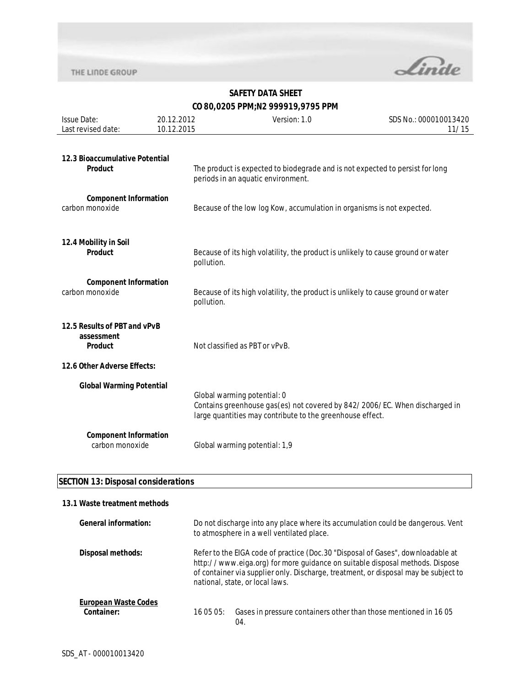

| <b>Issue Date:</b>                                           | 20.12.2012 | Version: 1.0                                                                                                                                                           | SDS No.: 000010013420 |
|--------------------------------------------------------------|------------|------------------------------------------------------------------------------------------------------------------------------------------------------------------------|-----------------------|
| Last revised date:                                           | 10.12.2015 |                                                                                                                                                                        | 11/15                 |
| 12.3 Bioaccumulative Potential<br>Product                    |            | The product is expected to biodegrade and is not expected to persist for long<br>periods in an aquatic environment.                                                    |                       |
| <b>Component Information</b><br>carbon monoxide              |            | Because of the low log Kow, accumulation in organisms is not expected.                                                                                                 |                       |
| 12.4 Mobility in Soil<br>Product                             |            | Because of its high volatility, the product is unlikely to cause ground or water<br>pollution.                                                                         |                       |
| <b>Component Information</b><br>carbon monoxide              |            | Because of its high volatility, the product is unlikely to cause ground or water<br>pollution.                                                                         |                       |
| 12.5 Results of PBT and vPvB<br>assessment<br><b>Product</b> |            | Not classified as PBT or vPvB.                                                                                                                                         |                       |
| 12.6 Other Adverse Effects:                                  |            |                                                                                                                                                                        |                       |
| <b>Global Warming Potential</b>                              |            | Global warming potential: 0<br>Contains greenhouse gas(es) not covered by 842/2006/EC. When discharged in<br>large quantities may contribute to the greenhouse effect. |                       |
| <b>Component Information</b><br>carbon monoxide              |            | Global warming potential: 1,9                                                                                                                                          |                       |

#### **SECTION 13: Disposal considerations**

#### **13.1 Waste treatment methods**

| General information:                      | Do not discharge into any place where its accumulation could be dangerous. Vent<br>to atmosphere in a well ventilated place.                                                                                                                                                               |  |
|-------------------------------------------|--------------------------------------------------------------------------------------------------------------------------------------------------------------------------------------------------------------------------------------------------------------------------------------------|--|
| <b>Disposal methods:</b>                  | Refer to the EIGA code of practice (Doc. 30 "Disposal of Gases", downloadable at<br>http://www.eiga.org) for more guidance on suitable disposal methods. Dispose<br>of container via supplier only. Discharge, treatment, or disposal may be subject to<br>national, state, or local laws. |  |
| <b>European Waste Codes</b><br>Container: | Gases in pressure containers other than those mentioned in 1605<br>16 05 05:<br>04.                                                                                                                                                                                                        |  |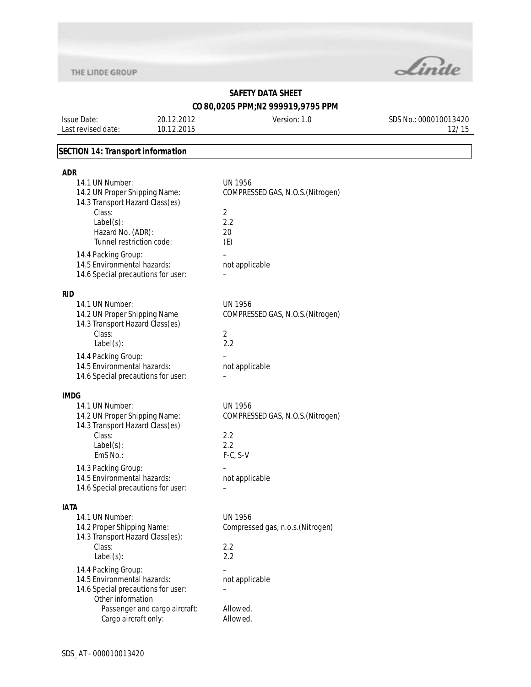

# **SAFETY DATA SHEET**

**CO 80,0205 PPM;N2 999919,9795 PPM**

Issue Date: Last revised date: 20.12.2012 10.12.2015 Version: 1.0 SDS No.: 000010013420 12/15

#### **SECTION 14: Transport information**

| <b>ADR</b>                                                                                                                                                             |                                                                                    |
|------------------------------------------------------------------------------------------------------------------------------------------------------------------------|------------------------------------------------------------------------------------|
| 14.1 UN Number:<br>14.2 UN Proper Shipping Name:<br>14.3 Transport Hazard Class(es)<br>Class:<br>$Label(s)$ :<br>Hazard No. (ADR):<br>Tunnel restriction code:         | UN 1956<br>COMPRESSED GAS, N.O.S. (Nitrogen)<br>$\overline{2}$<br>2.2<br>20<br>(E) |
| 14.4 Packing Group:<br>14.5 Environmental hazards:<br>14.6 Special precautions for user:                                                                               | not applicable                                                                     |
| <b>RID</b>                                                                                                                                                             |                                                                                    |
| 14.1 UN Number:<br>14.2 UN Proper Shipping Name<br>14.3 Transport Hazard Class(es)<br>Class:<br>$Label(s)$ :                                                           | <b>UN 1956</b><br>COMPRESSED GAS, N.O.S. (Nitrogen)<br>$\overline{2}$<br>2.2       |
| 14.4 Packing Group:<br>14.5 Environmental hazards:                                                                                                                     | not applicable                                                                     |
| 14.6 Special precautions for user:                                                                                                                                     |                                                                                    |
| <b>IMDG</b>                                                                                                                                                            |                                                                                    |
| 14.1 UN Number:<br>14.2 UN Proper Shipping Name:<br>14.3 Transport Hazard Class(es)<br>Class:<br>$Label(s)$ :<br>EmS No.:                                              | <b>UN 1956</b><br>COMPRESSED GAS, N.O.S. (Nitrogen)<br>2.2<br>2.2<br>$F-C, S-V$    |
| 14.3 Packing Group:                                                                                                                                                    |                                                                                    |
| 14.5 Environmental hazards:<br>14.6 Special precautions for user:                                                                                                      | not applicable                                                                     |
|                                                                                                                                                                        |                                                                                    |
| <b>IATA</b><br>14.1 UN Number:<br>14.2 Proper Shipping Name:<br>14.3 Transport Hazard Class(es):<br>Class:<br>$Label(s)$ :                                             | UN 1956<br>Compressed gas, n.o.s. (Nitrogen)<br>2.2<br>2.2                         |
| 14.4 Packing Group:<br>14.5 Environmental hazards:<br>14.6 Special precautions for user:<br>Other information<br>Passenger and cargo aircraft:<br>Cargo aircraft only: | not applicable<br>Allowed.<br>Allowed.                                             |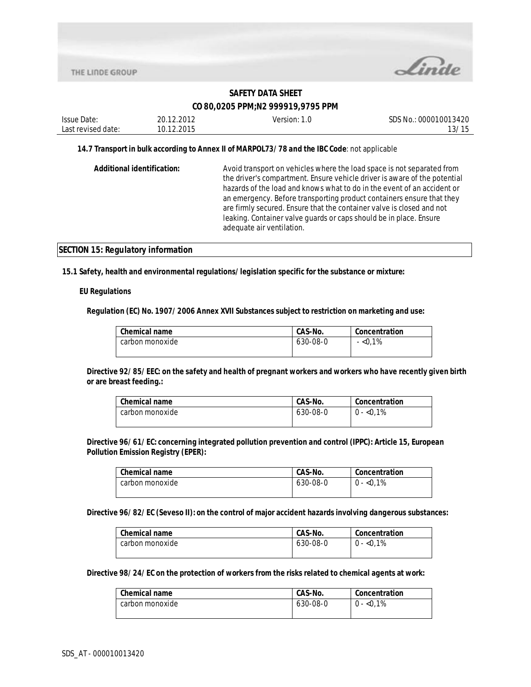

| Issue Date:        | 20.12.2012 | Version: 1.0 | SDS No.: 000010013420 |
|--------------------|------------|--------------|-----------------------|
| Last revised date: | 10.12.2015 |              | 13/15                 |
|                    |            |              |                       |

#### **14.7 Transport in bulk according to Annex II of MARPOL73/78 and the IBC Code**: not applicable

| <b>Additional identification:</b> | Avoid transport on vehicles where the load space is not separated from<br>the driver's compartment. Ensure vehicle driver is aware of the potential<br>hazards of the load and knows what to do in the event of an accident or<br>an emergency. Before transporting product containers ensure that they<br>are firmly secured. Ensure that the container valve is closed and not<br>leaking. Container valve guards or caps should be in place. Ensure<br>adequate air ventilation. |
|-----------------------------------|-------------------------------------------------------------------------------------------------------------------------------------------------------------------------------------------------------------------------------------------------------------------------------------------------------------------------------------------------------------------------------------------------------------------------------------------------------------------------------------|
|                                   |                                                                                                                                                                                                                                                                                                                                                                                                                                                                                     |

#### **SECTION 15: Regulatory information**

**15.1 Safety, health and environmental regulations/legislation specific for the substance or mixture:**

#### **EU Regulations**

**Regulation (EC) No. 1907/2006 Annex XVII Substances subject to restriction on marketing and use:** 

| <b>Chemical name</b> | CAS-No.  | Concentration |
|----------------------|----------|---------------|
| carbon monoxide      | 630-08-0 | $-$ <0.1%     |
|                      |          |               |

**Directive 92/85/EEC: on the safety and health of pregnant workers and workers who have recently given birth or are breast feeding.:** 

| <b>Chemical name</b> | CAS-No.  | Concentration |
|----------------------|----------|---------------|
| carbon monoxide      | 630-08-0 | $0 - 0.1\%$   |

**Directive 96/61/EC: concerning integrated pollution prevention and control (IPPC): Article 15, European Pollution Emission Registry (EPER):** 

| <b>Chemical name</b> | CAS-No.  | Concentration |
|----------------------|----------|---------------|
| carbon monoxide      | 630-08-0 | $0 - 0.1\%$   |
|                      |          |               |

**Directive 96/82/EC (Seveso II): on the control of major accident hazards involving dangerous substances:** 

| Chemical name   | CAS-No.  | Concentration |
|-----------------|----------|---------------|
| carbon monoxide | 630-08-0 | $0 - 0.1\%$   |

#### **Directive 98/24/EC on the protection of workers from the risks related to chemical agents at work:**

| <b>Chemical name</b> | CAS-No.  | Concentration |
|----------------------|----------|---------------|
| carbon monoxide      | 630-08-0 | $0 - 0.1\%$   |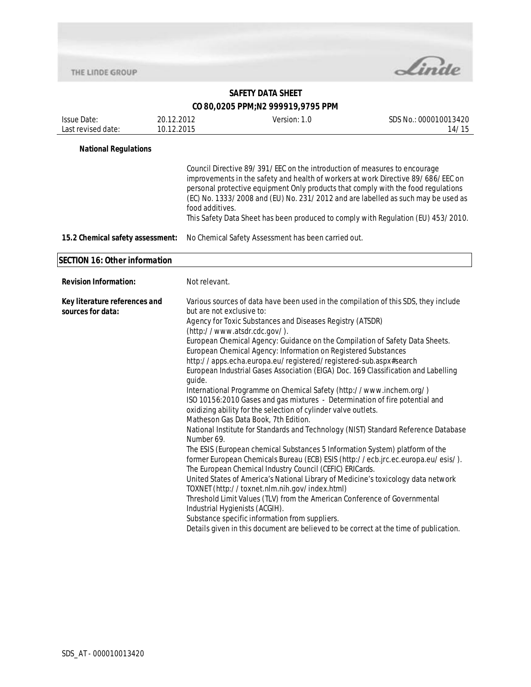

| <b>Issue Date:</b><br>Last revised date:           | 20.12.2012<br>10.12.2015 | Version: 1.0                                                                                                                                                                                                                                                                                                                                                                                                                                                                                                                                                                                                                                                                                                                                                                                                                                                                                                                                                                                                                                                                                                                                                                                                                                                                                                                                                                                                                                                                                                                            | SDS No.: 000010013420<br>14/15 |  |
|----------------------------------------------------|--------------------------|-----------------------------------------------------------------------------------------------------------------------------------------------------------------------------------------------------------------------------------------------------------------------------------------------------------------------------------------------------------------------------------------------------------------------------------------------------------------------------------------------------------------------------------------------------------------------------------------------------------------------------------------------------------------------------------------------------------------------------------------------------------------------------------------------------------------------------------------------------------------------------------------------------------------------------------------------------------------------------------------------------------------------------------------------------------------------------------------------------------------------------------------------------------------------------------------------------------------------------------------------------------------------------------------------------------------------------------------------------------------------------------------------------------------------------------------------------------------------------------------------------------------------------------------|--------------------------------|--|
| <b>National Regulations</b>                        |                          |                                                                                                                                                                                                                                                                                                                                                                                                                                                                                                                                                                                                                                                                                                                                                                                                                                                                                                                                                                                                                                                                                                                                                                                                                                                                                                                                                                                                                                                                                                                                         |                                |  |
|                                                    |                          | Council Directive 89/391/EEC on the introduction of measures to encourage<br>improvements in the safety and health of workers at work Directive 89/686/EEC on<br>personal protective equipment Only products that comply with the food regulations<br>(EC) No. 1333/2008 and (EU) No. 231/2012 and are labelled as such may be used as<br>food additives.<br>This Safety Data Sheet has been produced to comply with Regulation (EU) 453/2010.                                                                                                                                                                                                                                                                                                                                                                                                                                                                                                                                                                                                                                                                                                                                                                                                                                                                                                                                                                                                                                                                                          |                                |  |
| 15.2 Chemical safety assessment:                   |                          | No Chemical Safety Assessment has been carried out.                                                                                                                                                                                                                                                                                                                                                                                                                                                                                                                                                                                                                                                                                                                                                                                                                                                                                                                                                                                                                                                                                                                                                                                                                                                                                                                                                                                                                                                                                     |                                |  |
| <b>SECTION 16: Other information</b>               |                          |                                                                                                                                                                                                                                                                                                                                                                                                                                                                                                                                                                                                                                                                                                                                                                                                                                                                                                                                                                                                                                                                                                                                                                                                                                                                                                                                                                                                                                                                                                                                         |                                |  |
| <b>Revision Information:</b>                       |                          | Not relevant.                                                                                                                                                                                                                                                                                                                                                                                                                                                                                                                                                                                                                                                                                                                                                                                                                                                                                                                                                                                                                                                                                                                                                                                                                                                                                                                                                                                                                                                                                                                           |                                |  |
| Key literature references and<br>sources for data: |                          | Various sources of data have been used in the compilation of this SDS, they include<br>but are not exclusive to:<br>Agency for Toxic Substances and Diseases Registry (ATSDR)<br>(http://www.atsdr.cdc.gov/).<br>European Chemical Agency: Guidance on the Compilation of Safety Data Sheets.<br>European Chemical Agency: Information on Registered Substances<br>http://apps.echa.europa.eu/registered/registered-sub.aspx#search<br>European Industrial Gases Association (EIGA) Doc. 169 Classification and Labelling<br>guide.<br>International Programme on Chemical Safety (http://www.inchem.org/)<br>ISO 10156:2010 Gases and gas mixtures - Determination of fire potential and<br>oxidizing ability for the selection of cylinder valve outlets.<br>Matheson Gas Data Book, 7th Edition.<br>National Institute for Standards and Technology (NIST) Standard Reference Database<br>Number 69.<br>The ESIS (European chemical Substances 5 Information System) platform of the<br>former European Chemicals Bureau (ECB) ESIS (http://ecb.jrc.ec.europa.eu/esis/).<br>The European Chemical Industry Council (CEFIC) ERICards.<br>United States of America's National Library of Medicine's toxicology data network<br>TOXNET (http://toxnet.nlm.nih.gov/index.html)<br>Threshold Limit Values (TLV) from the American Conference of Governmental<br>Industrial Hygienists (ACGIH).<br>Substance specific information from suppliers.<br>Details given in this document are believed to be correct at the time of publication. |                                |  |